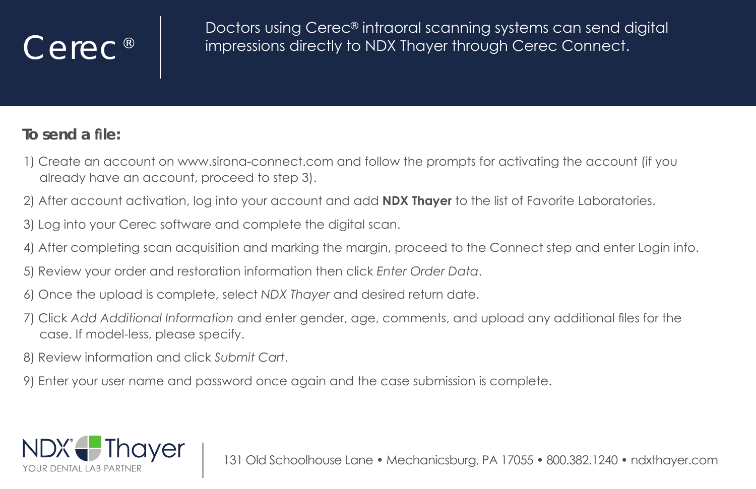## Cerec<sup>®</sup>

Doctors using Cerec<sup>®</sup> intraoral scanning systems can send digital impressions directly to NDX Thayer through Cerec Connect.

## **To send a file:**

- 1) Create an account on www.sirona-connect.com and follow the prompts for activatina the account (if you already have an account, proceed to step 3).
- 2) After account activation, log into your account and add **NDX Thayer** to the list of Favorite Laboratories.
- 3) Log into your Cerec software and complete the digital scan.
- 4) After completing scan acquisition and marking the margin, proceed to the Connect step and enter Login info.
- 5) Review your order and restoration information then click *Enter Order Data*.
- the upload is complete, select ND*X* Thayer and desired return date.
- 7) Click Add Additional Information and enter gender, age, comments, and upload any additional files for the case. If model-less, please specify.
- 8) Review information and click Submit Cart.
- 9). Enter your user name and password once again and the case submission is complete.